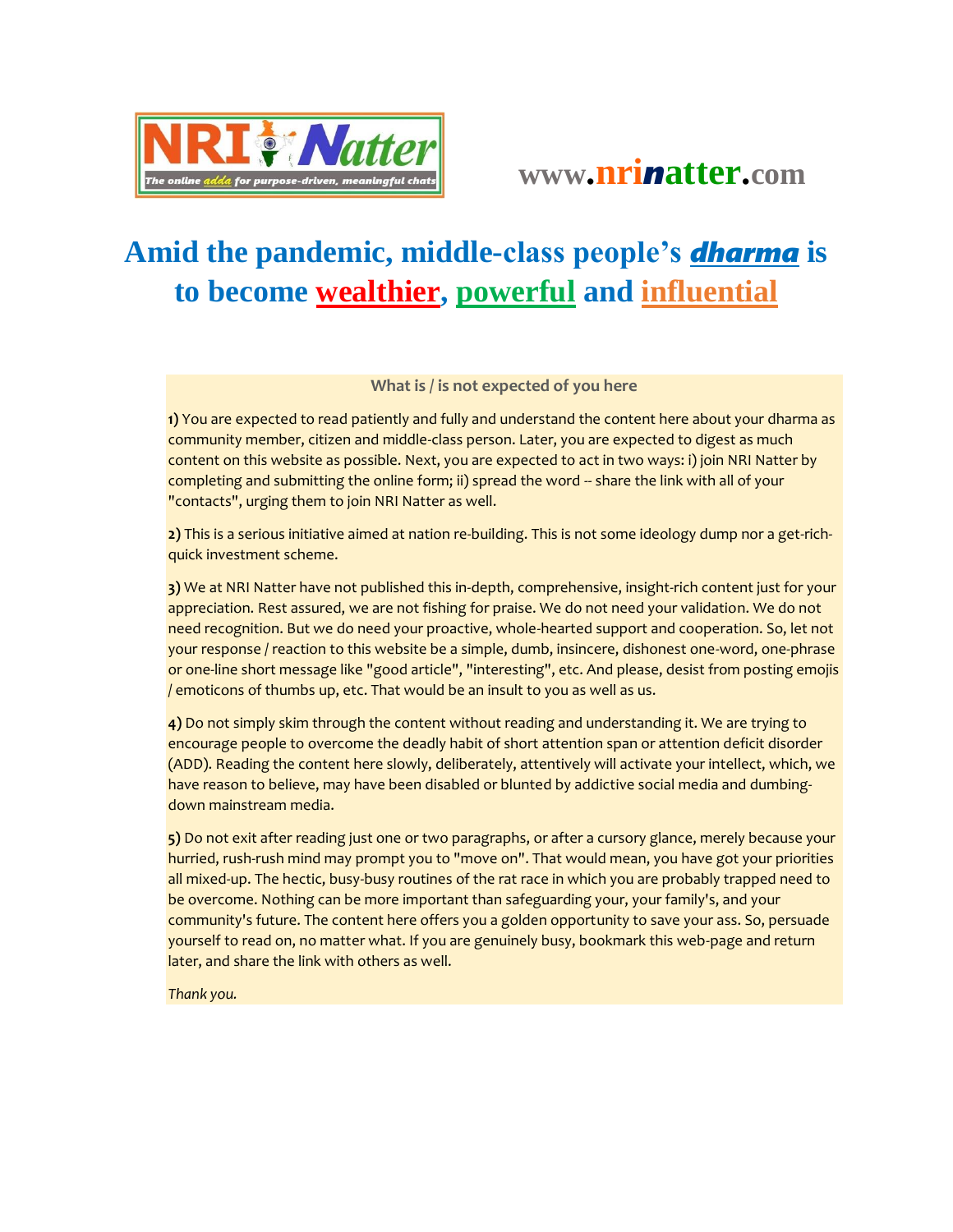

## **Amid the pandemic, middle-class people's** *dharma* **is to become wealthier, powerful and influential**

## **What is / is not expected of you here**

**1)** You are expected to read patiently and fully and understand the content here about your dharma as community member, citizen and middle-class person. Later, you are expected to digest as much content on this website as possible. Next, you are expected to act in two ways: i) join NRI Natter by completing and submitting the online form; ii) spread the word -- share the link with all of your "contacts", urging them to join NRI Natter as well.

**2)** This is a serious initiative aimed at nation re-building. This is not some ideology dump nor a get-richquick investment scheme.

**3)** We at NRI Natter have not published this in-depth, comprehensive, insight-rich content just for your appreciation. Rest assured, we are not fishing for praise. We do not need your validation. We do not need recognition. But we do need your proactive, whole-hearted support and cooperation. So, let not your response / reaction to this website be a simple, dumb, insincere, dishonest one-word, one-phrase or one-line short message like "good article", "interesting", etc. And please, desist from posting emojis / emoticons of thumbs up, etc. That would be an insult to you as well as us.

**4)** Do not simply skim through the content without reading and understanding it. We are trying to encourage people to overcome the deadly habit of short attention span or attention deficit disorder (ADD). Reading the content here slowly, deliberately, attentively will activate your intellect, which, we have reason to believe, may have been disabled or blunted by addictive social media and dumbingdown mainstream media.

**5)** Do not exit after reading just one or two paragraphs, or after a cursory glance, merely because your hurried, rush-rush mind may prompt you to "move on". That would mean, you have got your priorities all mixed-up. The hectic, busy-busy routines of the rat race in which you are probably trapped need to be overcome. Nothing can be more important than safeguarding your, your family's, and your community's future. The content here offers you a golden opportunity to save your ass. So, persuade yourself to read on, no matter what. If you are genuinely busy, bookmark this web-page and return later, and share the link with others as well.

*Thank you.*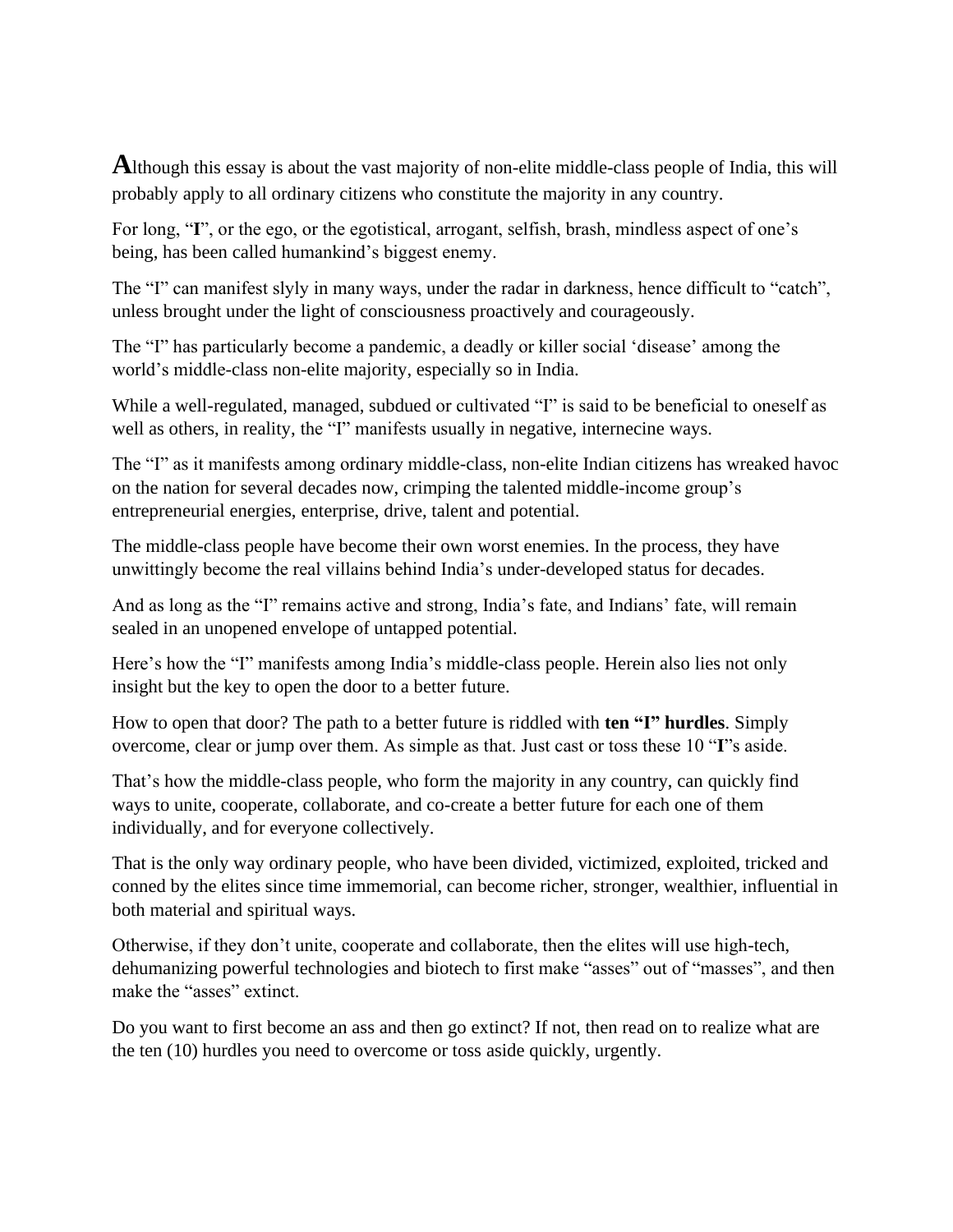**A**lthough this essay is about the vast majority of non-elite middle-class people of India, this will probably apply to all ordinary citizens who constitute the majority in any country.

For long, "**I**", or the ego, or the egotistical, arrogant, selfish, brash, mindless aspect of one's being, has been called humankind's biggest enemy.

The "I" can manifest slyly in many ways, under the radar in darkness, hence difficult to "catch", unless brought under the light of consciousness proactively and courageously.

The "I" has particularly become a pandemic, a deadly or killer social 'disease' among the world's middle-class non-elite majority, especially so in India.

While a well-regulated, managed, subdued or cultivated "I" is said to be beneficial to oneself as well as others, in reality, the "I" manifests usually in negative, internecine ways.

The "I" as it manifests among ordinary middle-class, non-elite Indian citizens has wreaked havoc on the nation for several decades now, crimping the talented middle-income group's entrepreneurial energies, enterprise, drive, talent and potential.

The middle-class people have become their own worst enemies. In the process, they have unwittingly become the real villains behind India's under-developed status for decades.

And as long as the "I" remains active and strong, India's fate, and Indians' fate, will remain sealed in an unopened envelope of untapped potential.

Here's how the "I" manifests among India's middle-class people. Herein also lies not only insight but the key to open the door to a better future.

How to open that door? The path to a better future is riddled with **ten "I" hurdles**. Simply overcome, clear or jump over them. As simple as that. Just cast or toss these 10 "**I**"s aside.

That's how the middle-class people, who form the majority in any country, can quickly find ways to unite, cooperate, collaborate, and co-create a better future for each one of them individually, and for everyone collectively.

That is the only way ordinary people, who have been divided, victimized, exploited, tricked and conned by the elites since time immemorial, can become richer, stronger, wealthier, influential in both material and spiritual ways.

Otherwise, if they don't unite, cooperate and collaborate, then the elites will use high-tech, dehumanizing powerful technologies and biotech to first make "asses" out of "masses", and then make the "asses" extinct.

Do you want to first become an ass and then go extinct? If not, then read on to realize what are the ten (10) hurdles you need to overcome or toss aside quickly, urgently.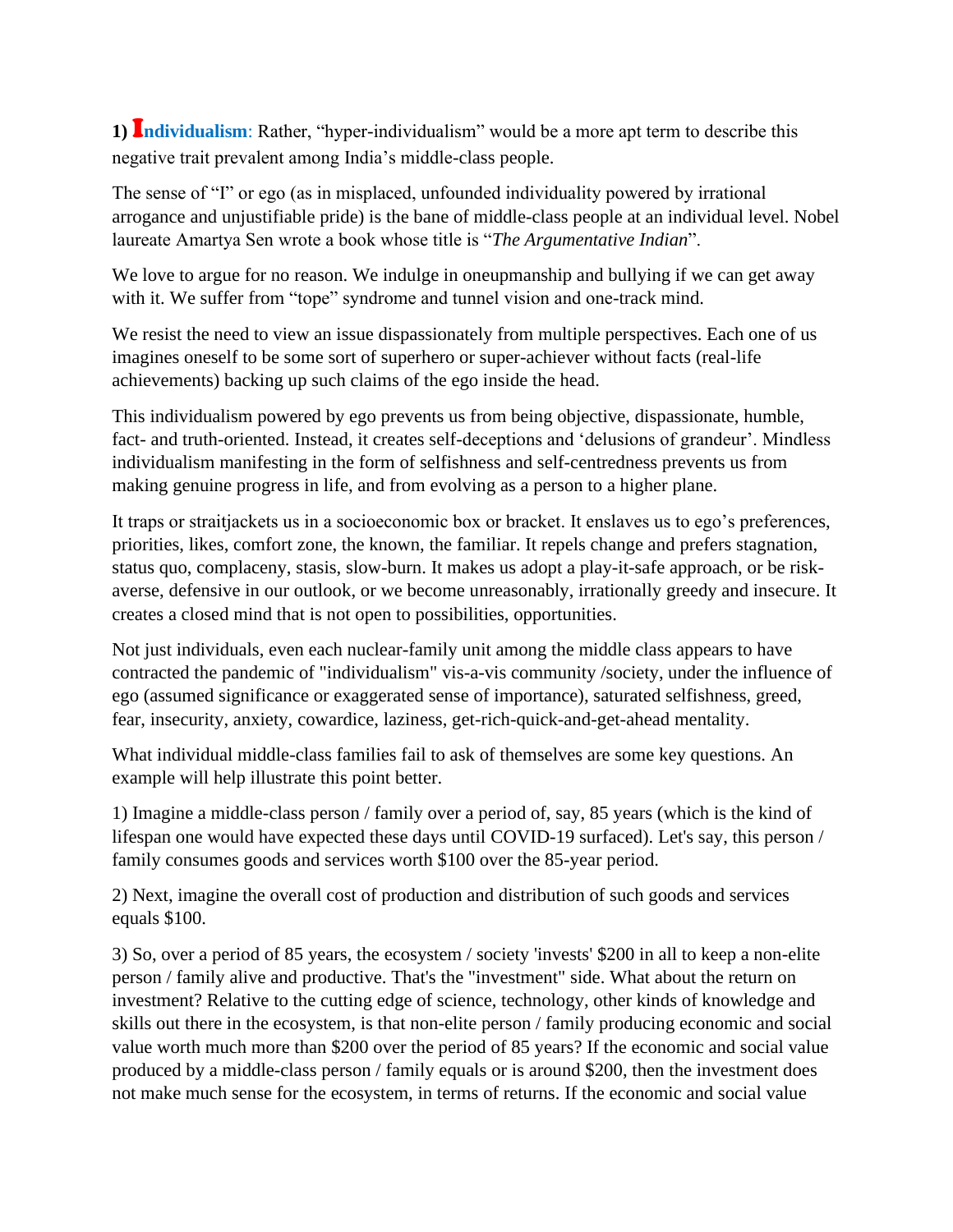**1)** I**ndividualism**: Rather, "hyper-individualism" would be a more apt term to describe this negative trait prevalent among India's middle-class people.

The sense of "I" or ego (as in misplaced, unfounded individuality powered by irrational arrogance and unjustifiable pride) is the bane of middle-class people at an individual level. Nobel laureate Amartya Sen wrote a book whose title is "*The Argumentative Indian*".

We love to argue for no reason. We indulge in oneupmanship and bullying if we can get away with it. We suffer from "tope" syndrome and tunnel vision and one-track mind.

We resist the need to view an issue dispassionately from multiple perspectives. Each one of us imagines oneself to be some sort of superhero or super-achiever without facts (real-life achievements) backing up such claims of the ego inside the head.

This individualism powered by ego prevents us from being objective, dispassionate, humble, fact- and truth-oriented. Instead, it creates self-deceptions and 'delusions of grandeur'. Mindless individualism manifesting in the form of selfishness and self-centredness prevents us from making genuine progress in life, and from evolving as a person to a higher plane.

It traps or straitjackets us in a socioeconomic box or bracket. It enslaves us to ego's preferences, priorities, likes, comfort zone, the known, the familiar. It repels change and prefers stagnation, status quo, complaceny, stasis, slow-burn. It makes us adopt a play-it-safe approach, or be riskaverse, defensive in our outlook, or we become unreasonably, irrationally greedy and insecure. It creates a closed mind that is not open to possibilities, opportunities.

Not just individuals, even each nuclear-family unit among the middle class appears to have contracted the pandemic of "individualism" vis-a-vis community /society, under the influence of ego (assumed significance or exaggerated sense of importance), saturated selfishness, greed, fear, insecurity, anxiety, cowardice, laziness, get-rich-quick-and-get-ahead mentality.

What individual middle-class families fail to ask of themselves are some key questions. An example will help illustrate this point better.

1) Imagine a middle-class person / family over a period of, say, 85 years (which is the kind of lifespan one would have expected these days until COVID-19 surfaced). Let's say, this person / family consumes goods and services worth \$100 over the 85-year period.

2) Next, imagine the overall cost of production and distribution of such goods and services equals \$100.

3) So, over a period of 85 years, the ecosystem / society 'invests' \$200 in all to keep a non-elite person / family alive and productive. That's the "investment" side. What about the return on investment? Relative to the cutting edge of science, technology, other kinds of knowledge and skills out there in the ecosystem, is that non-elite person / family producing economic and social value worth much more than \$200 over the period of 85 years? If the economic and social value produced by a middle-class person / family equals or is around \$200, then the investment does not make much sense for the ecosystem, in terms of returns. If the economic and social value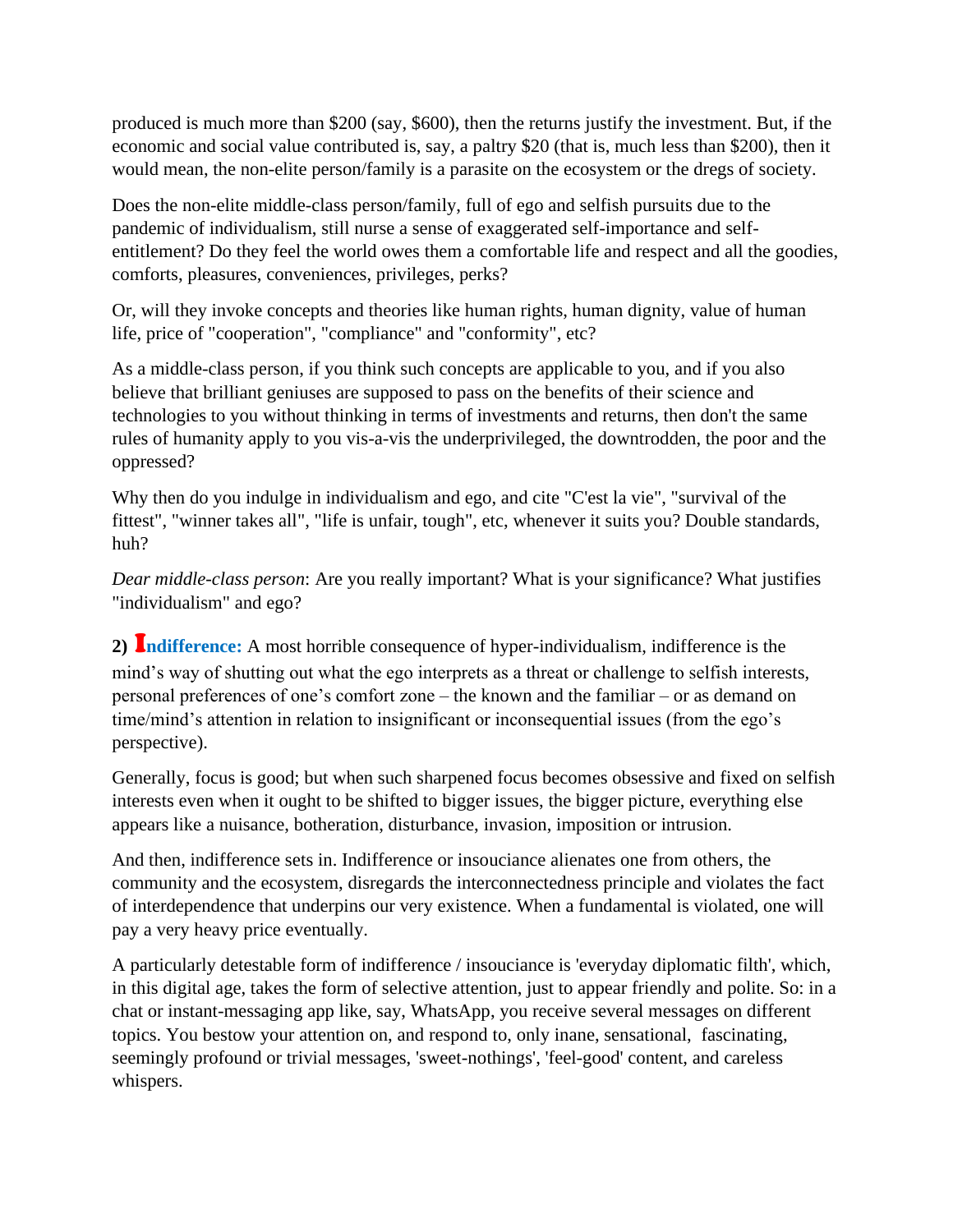produced is much more than \$200 (say, \$600), then the returns justify the investment. But, if the economic and social value contributed is, say, a paltry \$20 (that is, much less than \$200), then it would mean, the non-elite person/family is a parasite on the ecosystem or the dregs of society.

Does the non-elite middle-class person/family, full of ego and selfish pursuits due to the pandemic of individualism, still nurse a sense of exaggerated self-importance and selfentitlement? Do they feel the world owes them a comfortable life and respect and all the goodies, comforts, pleasures, conveniences, privileges, perks?

Or, will they invoke concepts and theories like human rights, human dignity, value of human life, price of "cooperation", "compliance" and "conformity", etc?

As a middle-class person, if you think such concepts are applicable to you, and if you also believe that brilliant geniuses are supposed to pass on the benefits of their science and technologies to you without thinking in terms of investments and returns, then don't the same rules of humanity apply to you vis-a-vis the underprivileged, the downtrodden, the poor and the oppressed?

Why then do you indulge in individualism and ego, and cite "C'est la vie", "survival of the fittest", "winner takes all", "life is unfair, tough", etc, whenever it suits you? Double standards, huh?

*Dear middle-class person*: Are you really important? What is your significance? What justifies "individualism" and ego?

**2)** I**ndifference:** A most horrible consequence of hyper-individualism, indifference is the mind's way of shutting out what the ego interprets as a threat or challenge to selfish interests, personal preferences of one's comfort zone – the known and the familiar – or as demand on time/mind's attention in relation to insignificant or inconsequential issues (from the ego's perspective).

Generally, focus is good; but when such sharpened focus becomes obsessive and fixed on selfish interests even when it ought to be shifted to bigger issues, the bigger picture, everything else appears like a nuisance, botheration, disturbance, invasion, imposition or intrusion.

And then, indifference sets in. Indifference or insouciance alienates one from others, the community and the ecosystem, disregards the interconnectedness principle and violates the fact of interdependence that underpins our very existence. When a fundamental is violated, one will pay a very heavy price eventually.

A particularly detestable form of indifference / insouciance is 'everyday diplomatic filth', which, in this digital age, takes the form of selective attention, just to appear friendly and polite. So: in a chat or instant-messaging app like, say, WhatsApp, you receive several messages on different topics. You bestow your attention on, and respond to, only inane, sensational, fascinating, seemingly profound or trivial messages, 'sweet-nothings', 'feel-good' content, and careless whispers.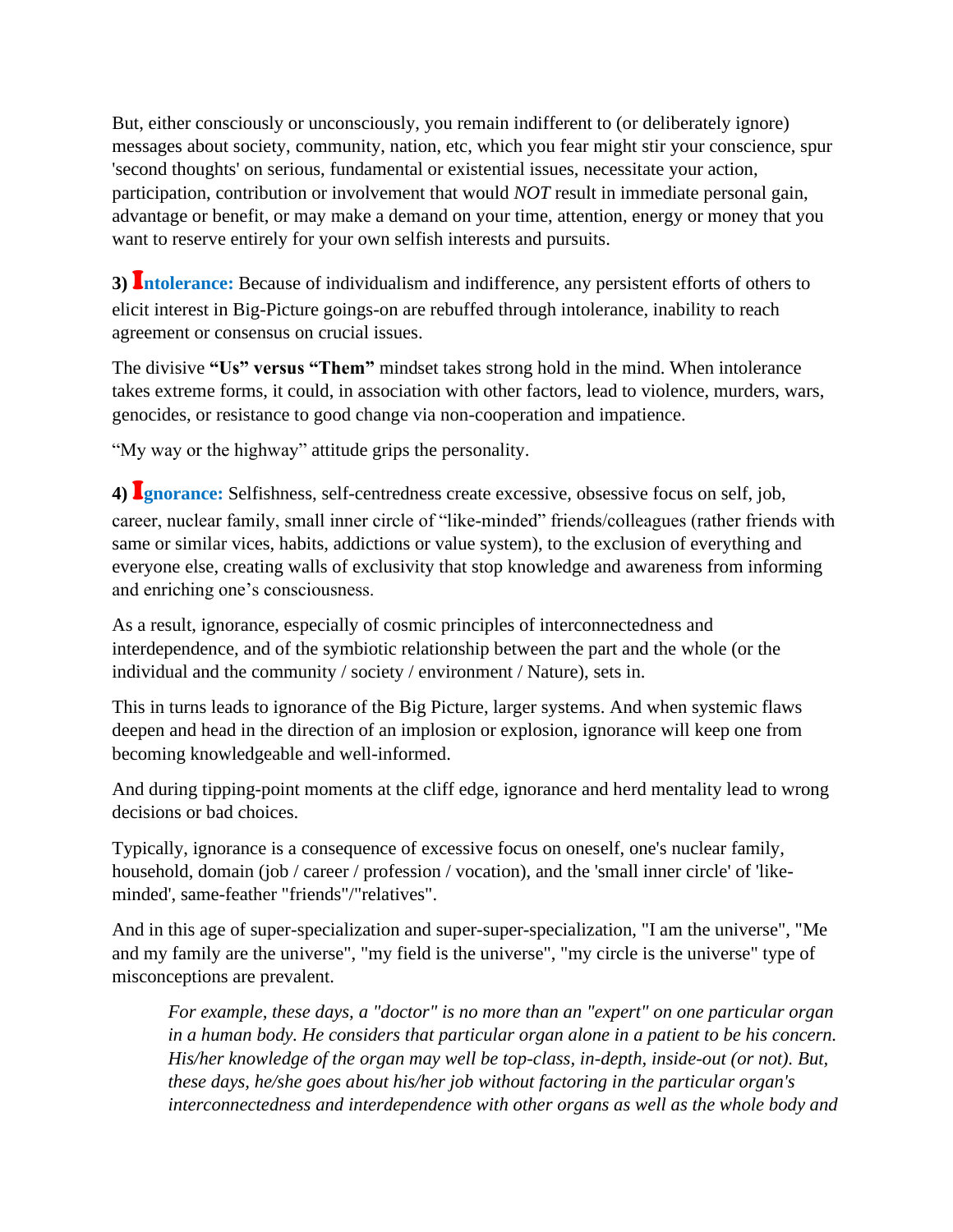But, either consciously or unconsciously, you remain indifferent to (or deliberately ignore) messages about society, community, nation, etc, which you fear might stir your conscience, spur 'second thoughts' on serious, fundamental or existential issues, necessitate your action, participation, contribution or involvement that would *NOT* result in immediate personal gain, advantage or benefit, or may make a demand on your time, attention, energy or money that you want to reserve entirely for your own selfish interests and pursuits.

**3)** I**ntolerance:** Because of individualism and indifference, any persistent efforts of others to elicit interest in Big-Picture goings-on are rebuffed through intolerance, inability to reach agreement or consensus on crucial issues.

The divisive **"Us" versus "Them"** mindset takes strong hold in the mind. When intolerance takes extreme forms, it could, in association with other factors, lead to violence, murders, wars, genocides, or resistance to good change via non-cooperation and impatience.

"My way or the highway" attitude grips the personality.

**4)** I**gnorance:** Selfishness, self-centredness create excessive, obsessive focus on self, job, career, nuclear family, small inner circle of "like-minded" friends/colleagues (rather friends with same or similar vices, habits, addictions or value system), to the exclusion of everything and everyone else, creating walls of exclusivity that stop knowledge and awareness from informing and enriching one's consciousness.

As a result, ignorance, especially of cosmic principles of interconnectedness and interdependence, and of the symbiotic relationship between the part and the whole (or the individual and the community / society / environment / Nature), sets in.

This in turns leads to ignorance of the Big Picture, larger systems. And when systemic flaws deepen and head in the direction of an implosion or explosion, ignorance will keep one from becoming knowledgeable and well-informed.

And during tipping-point moments at the cliff edge, ignorance and herd mentality lead to wrong decisions or bad choices.

Typically, ignorance is a consequence of excessive focus on oneself, one's nuclear family, household, domain (job / career / profession / vocation), and the 'small inner circle' of 'likeminded', same-feather "friends"/"relatives".

And in this age of super-specialization and super-super-specialization, "I am the universe", "Me and my family are the universe", "my field is the universe", "my circle is the universe" type of misconceptions are prevalent.

*For example, these days, a "doctor" is no more than an "expert" on one particular organ in a human body. He considers that particular organ alone in a patient to be his concern. His/her knowledge of the organ may well be top-class, in-depth, inside-out (or not). But, these days, he/she goes about his/her job without factoring in the particular organ's interconnectedness and interdependence with other organs as well as the whole body and*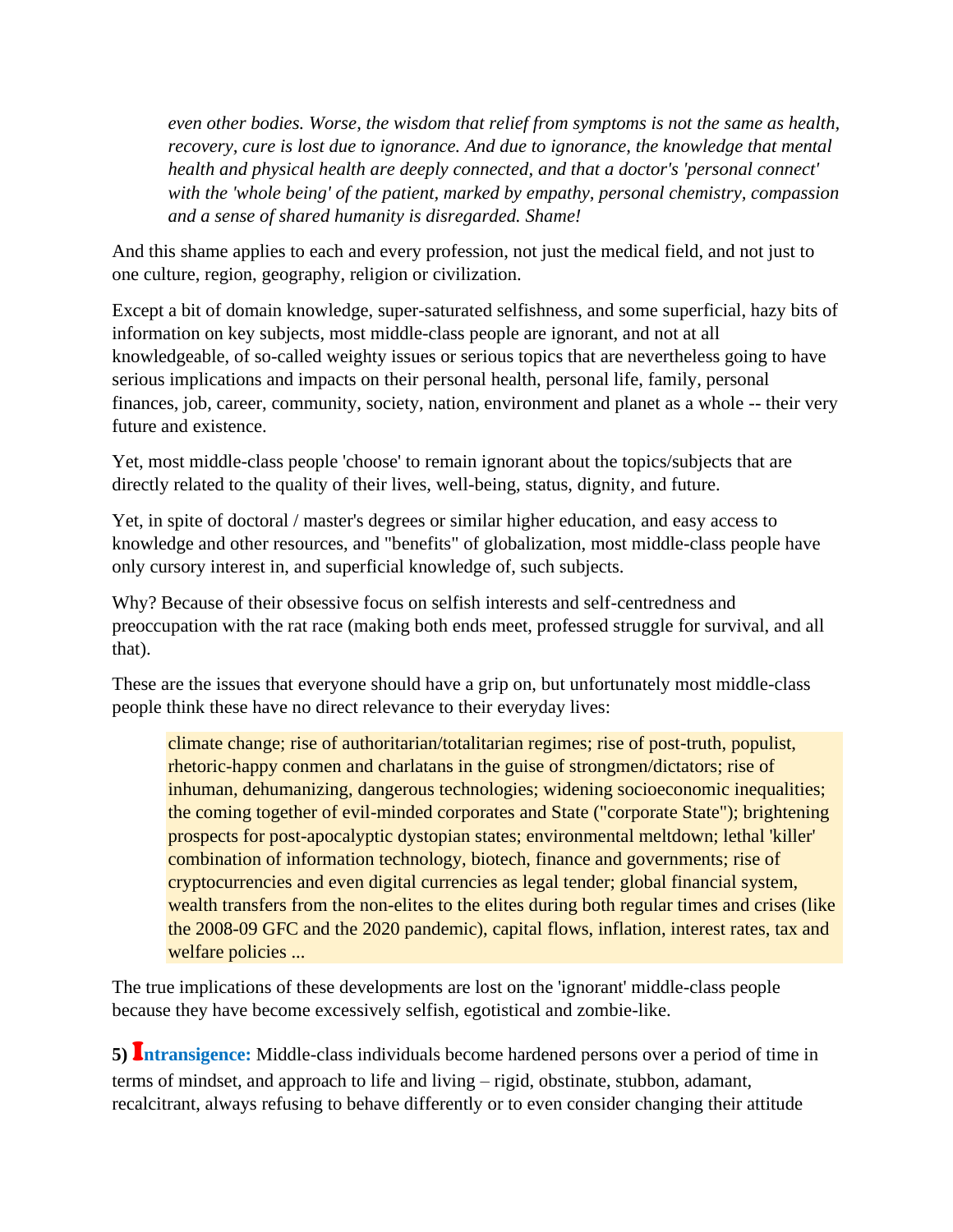*even other bodies. Worse, the wisdom that relief from symptoms is not the same as health, recovery, cure is lost due to ignorance. And due to ignorance, the knowledge that mental health and physical health are deeply connected, and that a doctor's 'personal connect' with the 'whole being' of the patient, marked by empathy, personal chemistry, compassion and a sense of shared humanity is disregarded. Shame!*

And this shame applies to each and every profession, not just the medical field, and not just to one culture, region, geography, religion or civilization.

Except a bit of domain knowledge, super-saturated selfishness, and some superficial, hazy bits of information on key subjects, most middle-class people are ignorant, and not at all knowledgeable, of so-called weighty issues or serious topics that are nevertheless going to have serious implications and impacts on their personal health, personal life, family, personal finances, job, career, community, society, nation, environment and planet as a whole -- their very future and existence.

Yet, most middle-class people 'choose' to remain ignorant about the topics/subjects that are directly related to the quality of their lives, well-being, status, dignity, and future.

Yet, in spite of doctoral / master's degrees or similar higher education, and easy access to knowledge and other resources, and "benefits" of globalization, most middle-class people have only cursory interest in, and superficial knowledge of, such subjects.

Why? Because of their obsessive focus on selfish interests and self-centredness and preoccupation with the rat race (making both ends meet, professed struggle for survival, and all that).

These are the issues that everyone should have a grip on, but unfortunately most middle-class people think these have no direct relevance to their everyday lives:

climate change; rise of authoritarian/totalitarian regimes; rise of post-truth, populist, rhetoric-happy conmen and charlatans in the guise of strongmen/dictators; rise of inhuman, dehumanizing, dangerous technologies; widening socioeconomic inequalities; the coming together of evil-minded corporates and State ("corporate State"); brightening prospects for post-apocalyptic dystopian states; environmental meltdown; lethal 'killer' combination of information technology, biotech, finance and governments; rise of cryptocurrencies and even digital currencies as legal tender; global financial system, wealth transfers from the non-elites to the elites during both regular times and crises (like the 2008-09 GFC and the 2020 pandemic), capital flows, inflation, interest rates, tax and welfare policies ...

The true implications of these developments are lost on the 'ignorant' middle-class people because they have become excessively selfish, egotistical and zombie-like.

**5)** I**ntransigence:** Middle-class individuals become hardened persons over a period of time in terms of mindset, and approach to life and living – rigid, obstinate, stubbon, adamant, recalcitrant, always refusing to behave differently or to even consider changing their attitude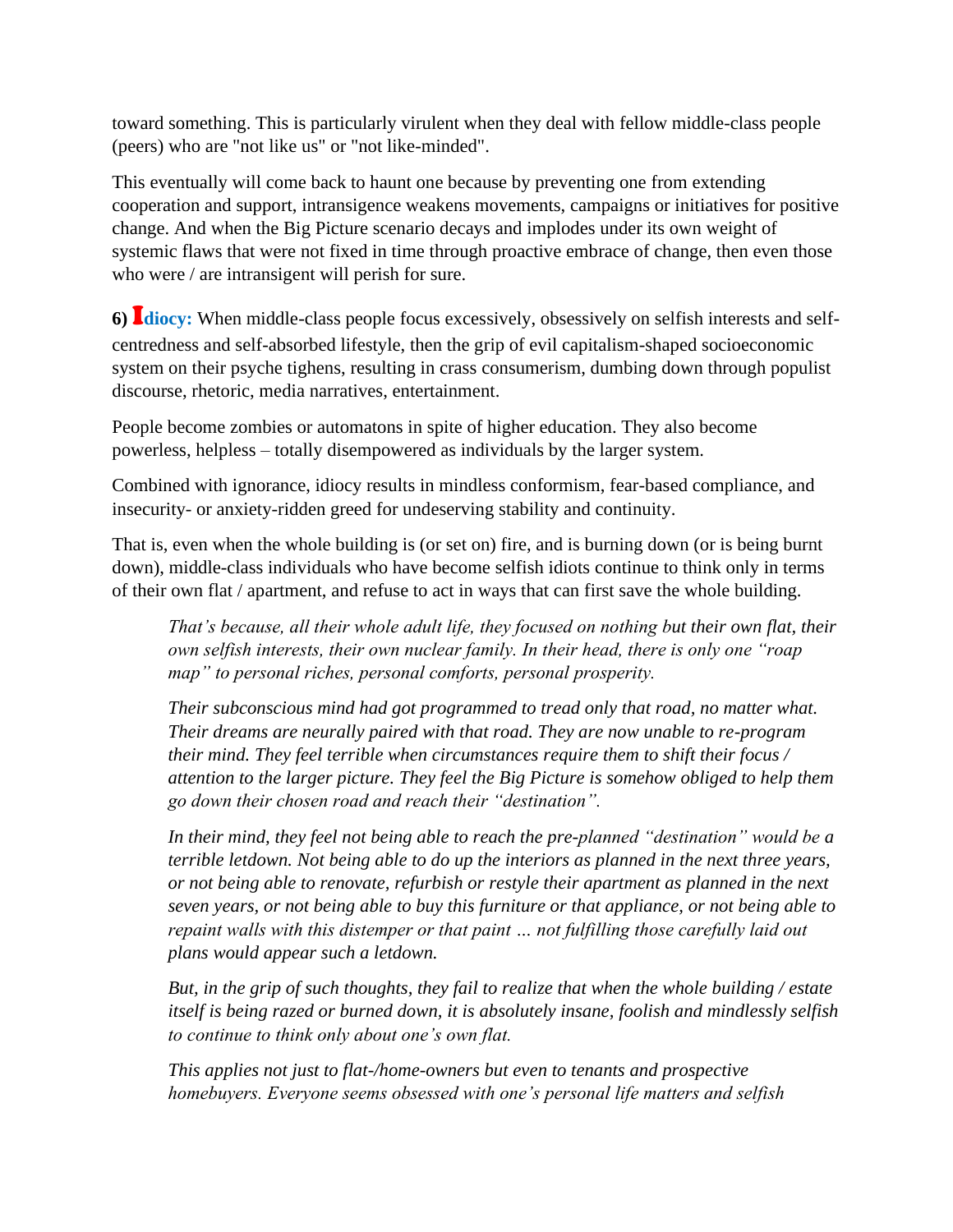toward something. This is particularly virulent when they deal with fellow middle-class people (peers) who are "not like us" or "not like-minded".

This eventually will come back to haunt one because by preventing one from extending cooperation and support, intransigence weakens movements, campaigns or initiatives for positive change. And when the Big Picture scenario decays and implodes under its own weight of systemic flaws that were not fixed in time through proactive embrace of change, then even those who were / are intransigent will perish for sure.

**6)** I**diocy:** When middle-class people focus excessively, obsessively on selfish interests and selfcentredness and self-absorbed lifestyle, then the grip of evil capitalism-shaped socioeconomic system on their psyche tighens, resulting in crass consumerism, dumbing down through populist discourse, rhetoric, media narratives, entertainment.

People become zombies or automatons in spite of higher education. They also become powerless, helpless – totally disempowered as individuals by the larger system.

Combined with ignorance, idiocy results in mindless conformism, fear-based compliance, and insecurity- or anxiety-ridden greed for undeserving stability and continuity.

That is, even when the whole building is (or set on) fire, and is burning down (or is being burnt down), middle-class individuals who have become selfish idiots continue to think only in terms of their own flat / apartment, and refuse to act in ways that can first save the whole building.

*That's because, all their whole adult life, they focused on nothing but their own flat, their own selfish interests, their own nuclear family. In their head, there is only one "roap map" to personal riches, personal comforts, personal prosperity.* 

*Their subconscious mind had got programmed to tread only that road, no matter what. Their dreams are neurally paired with that road. They are now unable to re-program their mind. They feel terrible when circumstances require them to shift their focus / attention to the larger picture. They feel the Big Picture is somehow obliged to help them go down their chosen road and reach their "destination".* 

*In their mind, they feel not being able to reach the pre-planned "destination" would be a terrible letdown. Not being able to do up the interiors as planned in the next three years, or not being able to renovate, refurbish or restyle their apartment as planned in the next seven years, or not being able to buy this furniture or that appliance, or not being able to repaint walls with this distemper or that paint … not fulfilling those carefully laid out plans would appear such a letdown.* 

*But, in the grip of such thoughts, they fail to realize that when the whole building / estate itself is being razed or burned down, it is absolutely insane, foolish and mindlessly selfish to continue to think only about one's own flat.*

*This applies not just to flat-/home-owners but even to tenants and prospective homebuyers. Everyone seems obsessed with one's personal life matters and selfish*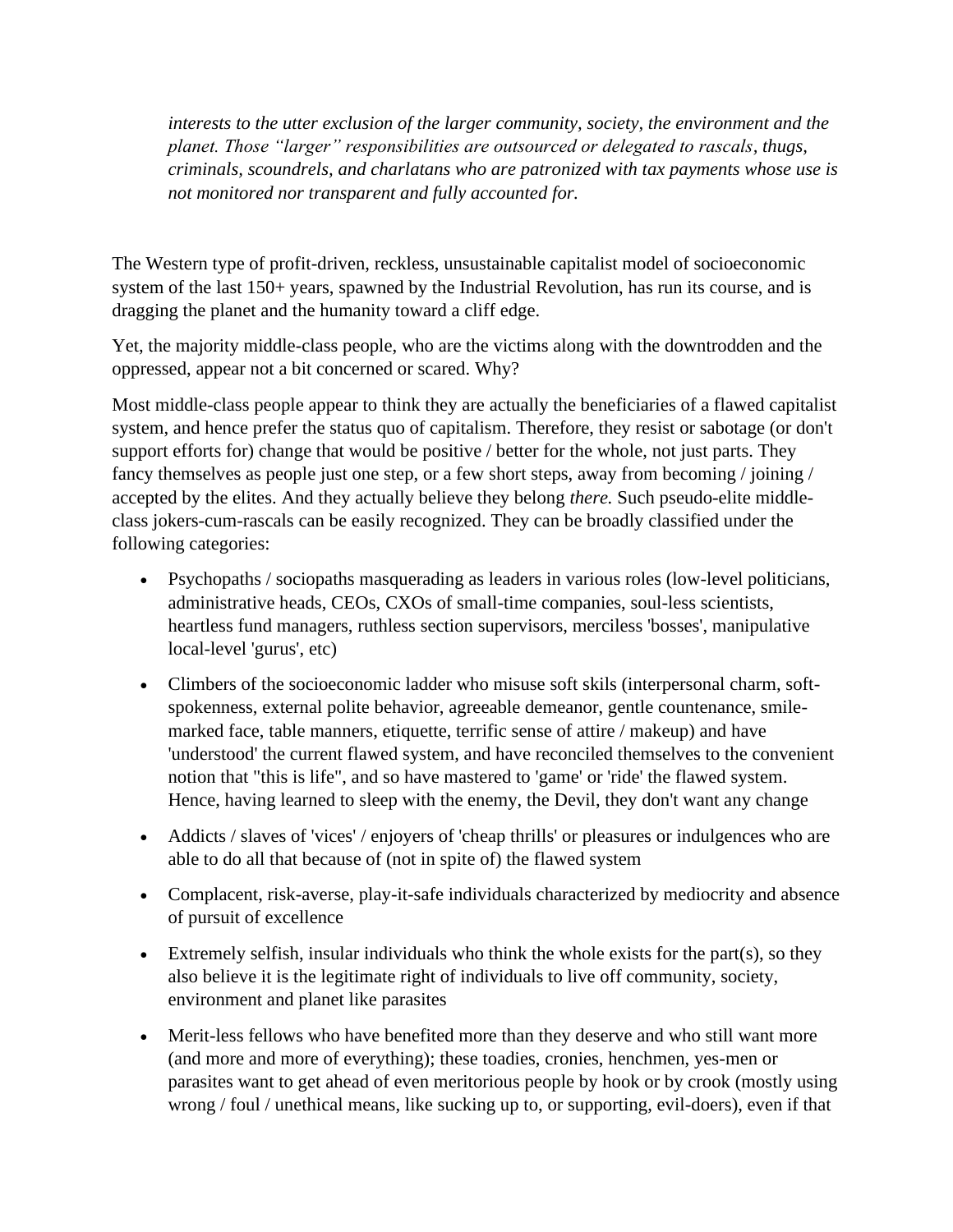*interests to the utter exclusion of the larger community, society, the environment and the planet. Those "larger" responsibilities are outsourced or delegated to rascals, thugs, criminals, scoundrels, and charlatans who are patronized with tax payments whose use is not monitored nor transparent and fully accounted for.*

The Western type of profit-driven, reckless, unsustainable capitalist model of socioeconomic system of the last 150+ years, spawned by the Industrial Revolution, has run its course, and is dragging the planet and the humanity toward a cliff edge.

Yet, the majority middle-class people, who are the victims along with the downtrodden and the oppressed, appear not a bit concerned or scared. Why?

Most middle-class people appear to think they are actually the beneficiaries of a flawed capitalist system, and hence prefer the status quo of capitalism. Therefore, they resist or sabotage (or don't support efforts for) change that would be positive / better for the whole, not just parts. They fancy themselves as people just one step, or a few short steps, away from becoming / joining / accepted by the elites. And they actually believe they belong *there.* Such pseudo-elite middleclass jokers-cum-rascals can be easily recognized. They can be broadly classified under the following categories:

- Psychopaths / sociopaths masquerading as leaders in various roles (low-level politicians, administrative heads, CEOs, CXOs of small-time companies, soul-less scientists, heartless fund managers, ruthless section supervisors, merciless 'bosses', manipulative local-level 'gurus', etc)
- Climbers of the socioeconomic ladder who misuse soft skils (interpersonal charm, softspokenness, external polite behavior, agreeable demeanor, gentle countenance, smilemarked face, table manners, etiquette, terrific sense of attire / makeup) and have 'understood' the current flawed system, and have reconciled themselves to the convenient notion that "this is life", and so have mastered to 'game' or 'ride' the flawed system. Hence, having learned to sleep with the enemy, the Devil, they don't want any change
- Addicts / slaves of 'vices' / enjoyers of 'cheap thrills' or pleasures or indulgences who are able to do all that because of (not in spite of) the flawed system
- Complacent, risk-averse, play-it-safe individuals characterized by mediocrity and absence of pursuit of excellence
- Extremely selfish, insular individuals who think the whole exists for the part(s), so they also believe it is the legitimate right of individuals to live off community, society, environment and planet like parasites
- Merit-less fellows who have benefited more than they deserve and who still want more (and more and more of everything); these toadies, cronies, henchmen, yes-men or parasites want to get ahead of even meritorious people by hook or by crook (mostly using wrong / foul / unethical means, like sucking up to, or supporting, evil-doers), even if that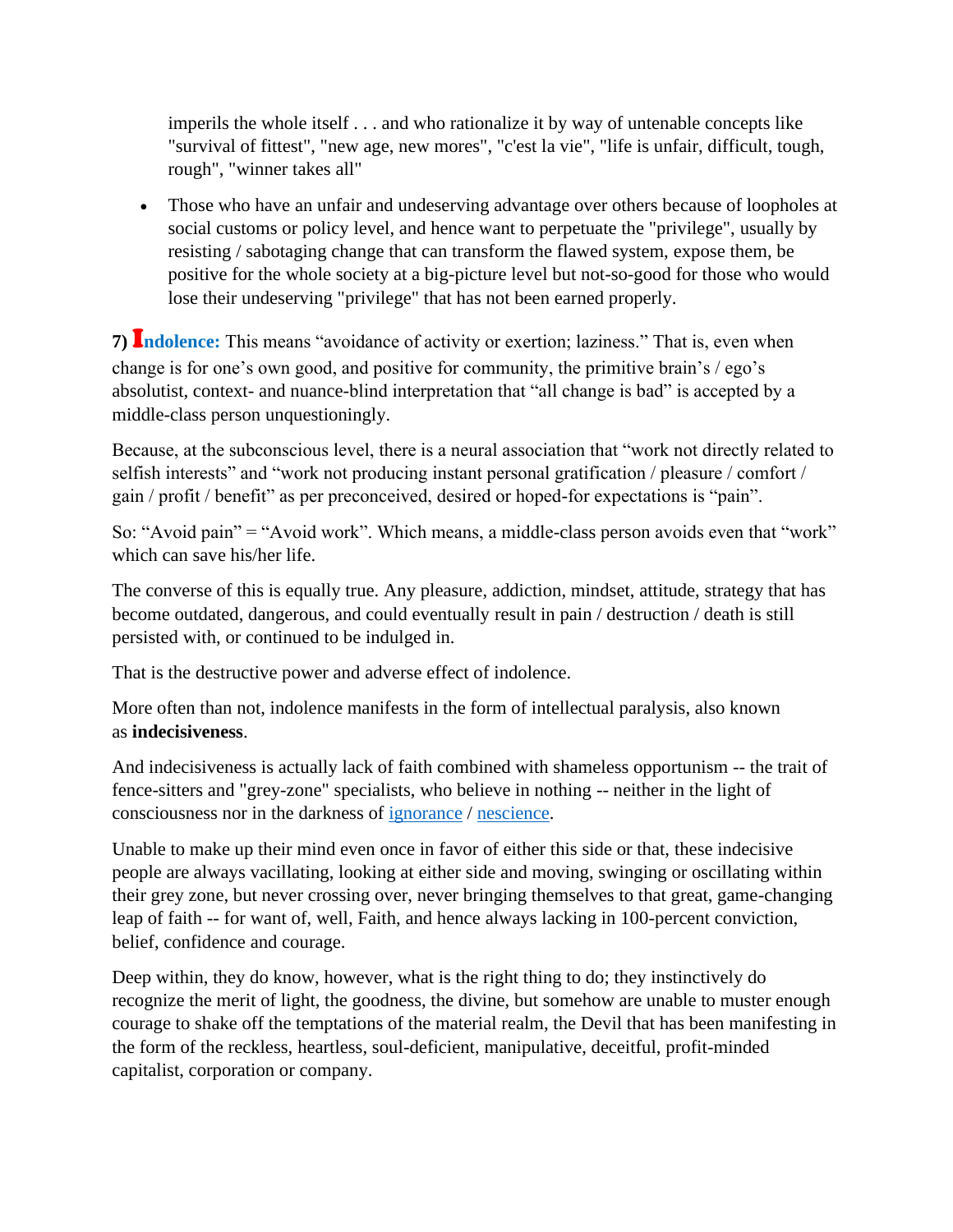imperils the whole itself . . . and who rationalize it by way of untenable concepts like "survival of fittest", "new age, new mores", "c'est la vie", "life is unfair, difficult, tough, rough", "winner takes all"

• Those who have an unfair and undeserving advantage over others because of loopholes at social customs or policy level, and hence want to perpetuate the "privilege", usually by resisting / sabotaging change that can transform the flawed system, expose them, be positive for the whole society at a big-picture level but not-so-good for those who would lose their undeserving "privilege" that has not been earned properly.

**7)** I**ndolence:** This means "avoidance of activity or exertion; laziness." That is, even when change is for one's own good, and positive for community, the primitive brain's / ego's absolutist, context- and nuance-blind interpretation that "all change is bad" is accepted by a middle-class person unquestioningly.

Because, at the subconscious level, there is a neural association that "work not directly related to selfish interests" and "work not producing instant personal gratification / pleasure / comfort / gain / profit / benefit" as per preconceived, desired or hoped-for expectations is "pain".

So: "Avoid pain" = "Avoid work". Which means, a middle-class person avoids even that "work" which can save his/her life.

The converse of this is equally true. Any pleasure, addiction, mindset, attitude, strategy that has become outdated, dangerous, and could eventually result in pain / destruction / death is still persisted with, or continued to be indulged in.

That is the destructive power and adverse effect of indolence.

More often than not, indolence manifests in the form of intellectual paralysis, also known as **indecisiveness**.

And indecisiveness is actually lack of faith combined with shameless opportunism -- the trait of fence-sitters and "grey-zone" specialists, who believe in nothing -- neither in the light of consciousness nor in the darkness of [ignorance](https://www.lexico.com/definition/nescience) / [nescience.](https://www.collinsdictionary.com/dictionary/english/nescience)

Unable to make up their mind even once in favor of either this side or that, these indecisive people are always vacillating, looking at either side and moving, swinging or oscillating within their grey zone, but never crossing over, never bringing themselves to that great, game-changing leap of faith -- for want of, well, Faith, and hence always lacking in 100-percent conviction, belief, confidence and courage.

Deep within, they do know, however, what is the right thing to do; they instinctively do recognize the merit of light, the goodness, the divine, but somehow are unable to muster enough courage to shake off the temptations of the material realm, the Devil that has been manifesting in the form of the reckless, heartless, soul-deficient, manipulative, deceitful, profit-minded capitalist, corporation or company.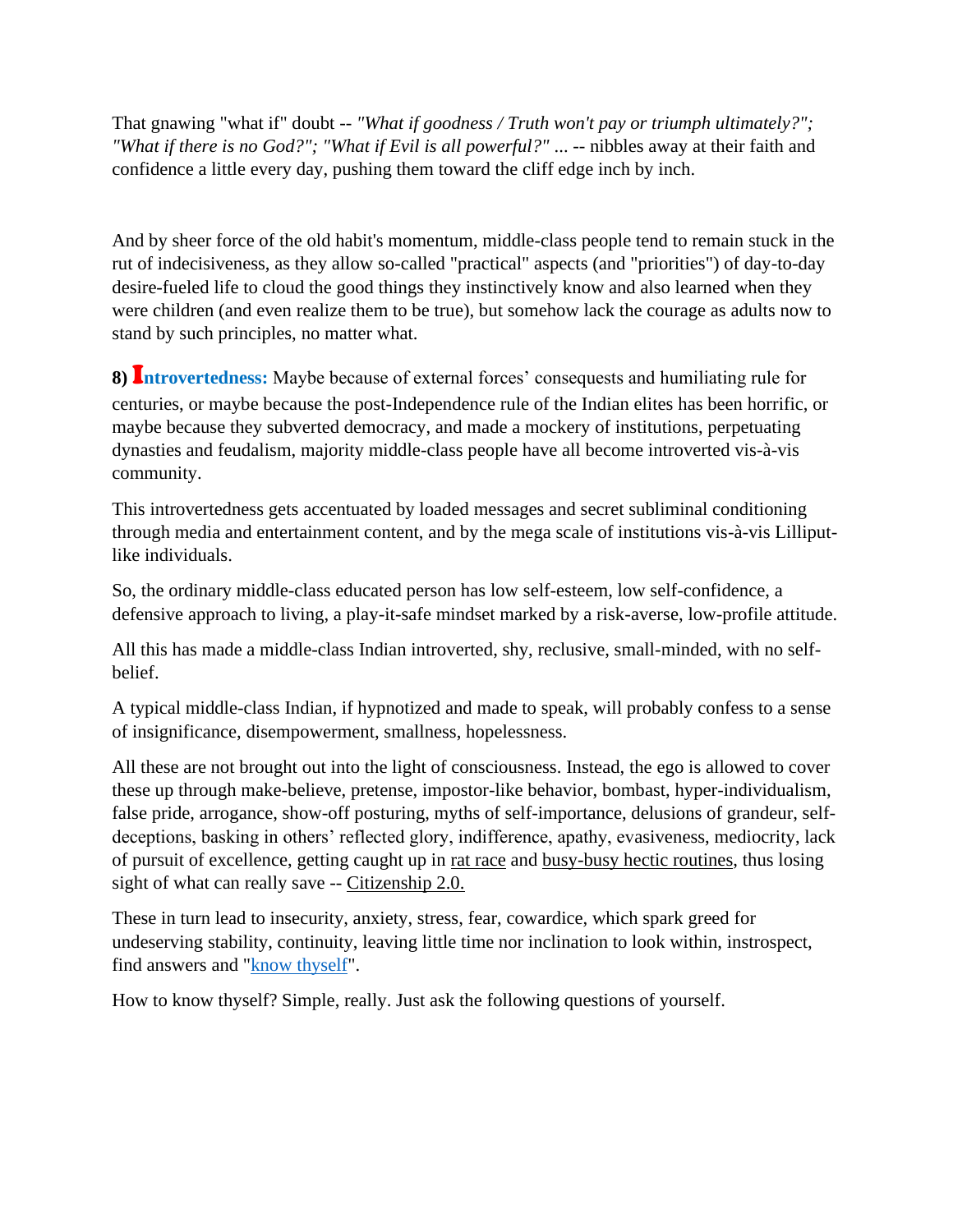That gnawing "what if" doubt -- *"What if goodness / Truth won't pay or triumph ultimately?"; "What if there is no God?"; "What if Evil is all powerful?"* ... -- nibbles away at their faith and confidence a little every day, pushing them toward the cliff edge inch by inch.

And by sheer force of the old habit's momentum, middle-class people tend to remain stuck in the rut of indecisiveness, as they allow so-called "practical" aspects (and "priorities") of day-to-day desire-fueled life to cloud the good things they instinctively know and also learned when they were children (and even realize them to be true), but somehow lack the courage as adults now to stand by such principles, no matter what.

**8)** I**ntrovertedness:** Maybe because of external forces' consequests and humiliating rule for centuries, or maybe because the post-Independence rule of the Indian elites has been horrific, or maybe because they subverted democracy, and made a mockery of institutions, perpetuating dynasties and feudalism, majority middle-class people have all become introverted vis-à-vis community.

This introvertedness gets accentuated by loaded messages and secret subliminal conditioning through media and entertainment content, and by the mega scale of institutions vis-à-vis Lilliputlike individuals.

So, the ordinary middle-class educated person has low self-esteem, low self-confidence, a defensive approach to living, a play-it-safe mindset marked by a risk-averse, low-profile attitude.

All this has made a middle-class Indian introverted, shy, reclusive, small-minded, with no selfbelief.

A typical middle-class Indian, if hypnotized and made to speak, will probably confess to a sense of insignificance, disempowerment, smallness, hopelessness.

All these are not brought out into the light of consciousness. Instead, the ego is allowed to cover these up through make-believe, pretense, impostor-like behavior, bombast, hyper-individualism, false pride, arrogance, show-off posturing, myths of self-importance, delusions of grandeur, selfdeceptions, basking in others' reflected glory, indifference, apathy, evasiveness, mediocrity, lack of pursuit of excellence, getting caught up in rat race and busy-busy hectic routines, thus losing sight of what can really save -- Citizenship 2.0.

These in turn lead to insecurity, anxiety, stress, fear, cowardice, which spark greed for undeserving stability, continuity, leaving little time nor inclination to look within, instrospect, find answers and ["know thyself"](http://know-middle-class-self.de.mikecrm.com/tLA2SzP).

How to know thyself? Simple, really. Just ask the following questions of yourself.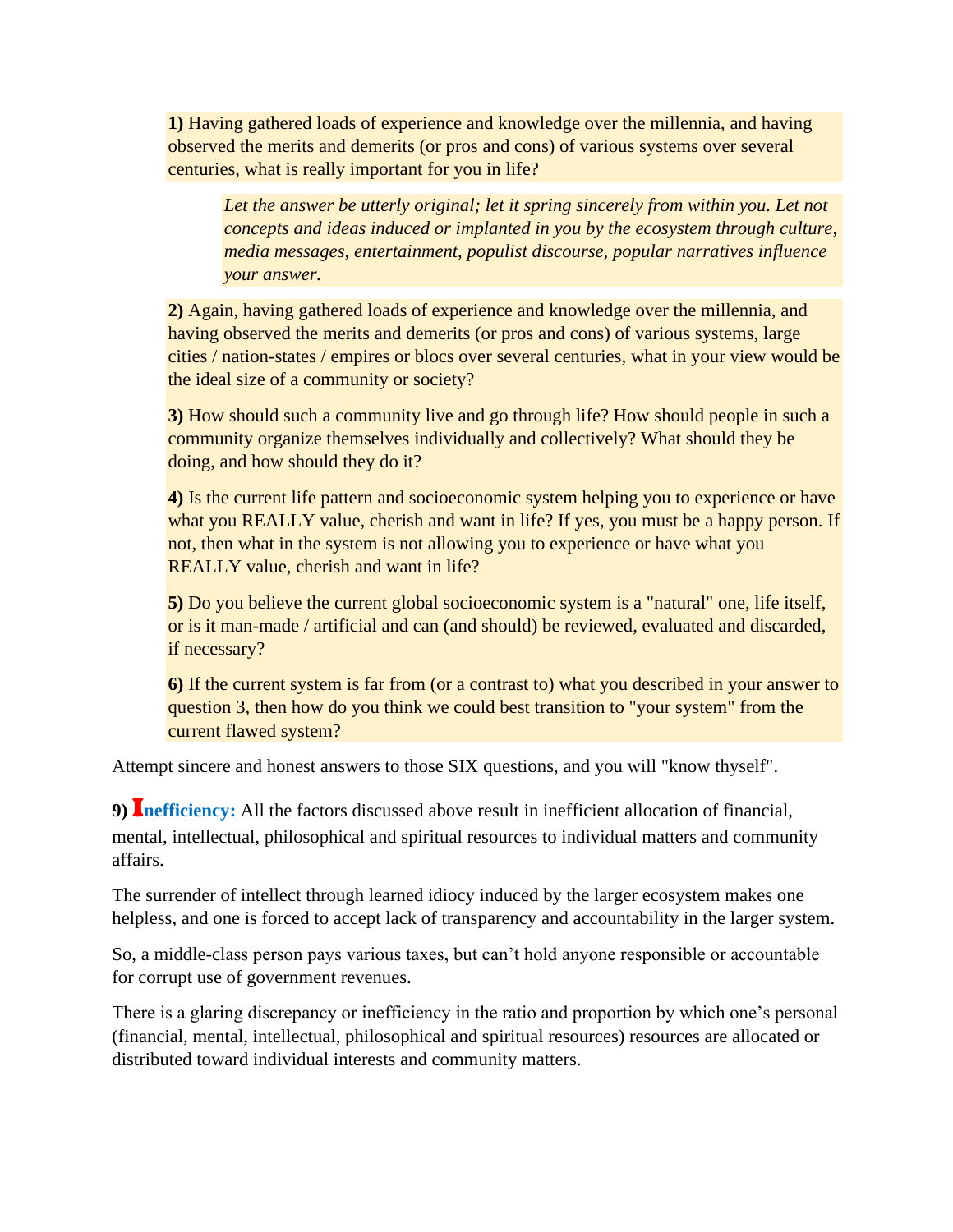**1)** Having gathered loads of experience and knowledge over the millennia, and having observed the merits and demerits (or pros and cons) of various systems over several centuries, what is really important for you in life?

Let the answer be utterly original; let it spring sincerely from within you. Let not *concepts and ideas induced or implanted in you by the ecosystem through culture, media messages, entertainment, populist discourse, popular narratives influence your answer.*

**2)** Again, having gathered loads of experience and knowledge over the millennia, and having observed the merits and demerits (or pros and cons) of various systems, large cities / nation-states / empires or blocs over several centuries, what in your view would be the ideal size of a community or society?

**3)** How should such a community live and go through life? How should people in such a community organize themselves individually and collectively? What should they be doing, and how should they do it?

**4)** Is the current life pattern and socioeconomic system helping you to experience or have what you REALLY value, cherish and want in life? If yes, you must be a happy person. If not, then what in the system is not allowing you to experience or have what you REALLY value, cherish and want in life?

**5)** Do you believe the current global socioeconomic system is a "natural" one, life itself, or is it man-made / artificial and can (and should) be reviewed, evaluated and discarded, if necessary?

**6)** If the current system is far from (or a contrast to) what you described in your answer to question 3, then how do you think we could best transition to "your system" from the current flawed system?

Attempt sincere and honest answers to those SIX questions, and you will ["know thyself"](know-middle-class-self.de.mikecrm.com/tLA2SzP).

**9)** I**nefficiency:** All the factors discussed above result in inefficient allocation of financial, mental, intellectual, philosophical and spiritual resources to individual matters and community affairs.

The surrender of intellect through learned idiocy induced by the larger ecosystem makes one helpless, and one is forced to accept lack of transparency and accountability in the larger system.

So, a middle-class person pays various taxes, but can't hold anyone responsible or accountable for corrupt use of government revenues.

There is a glaring discrepancy or inefficiency in the ratio and proportion by which one's personal (financial, mental, intellectual, philosophical and spiritual resources) resources are allocated or distributed toward individual interests and community matters.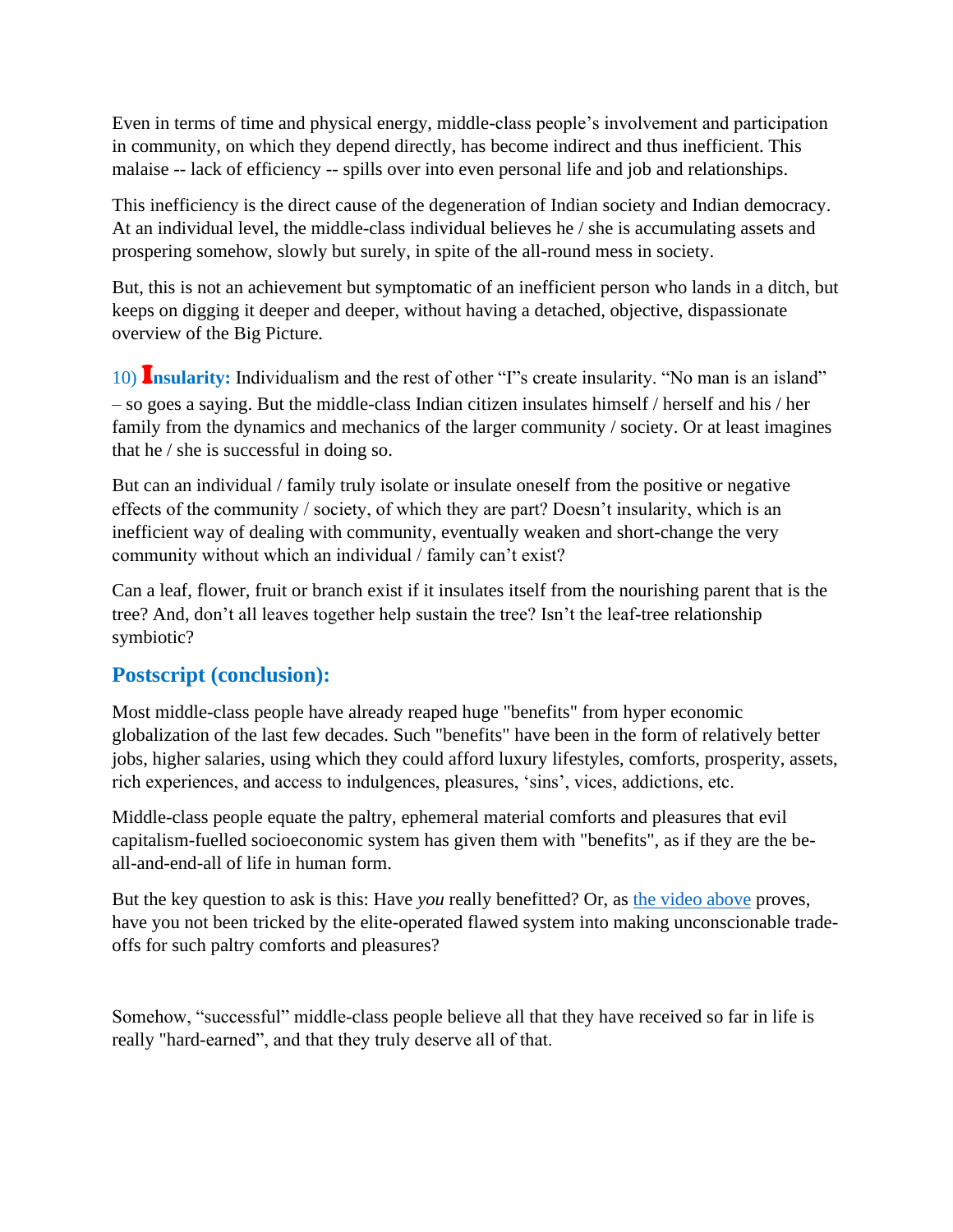Even in terms of time and physical energy, middle-class people's involvement and participation in community, on which they depend directly, has become indirect and thus inefficient. This malaise -- lack of efficiency -- spills over into even personal life and job and relationships.

This inefficiency is the direct cause of the degeneration of Indian society and Indian democracy. At an individual level, the middle-class individual believes he / she is accumulating assets and prospering somehow, slowly but surely, in spite of the all-round mess in society.

But, this is not an achievement but symptomatic of an inefficient person who lands in a ditch, but keeps on digging it deeper and deeper, without having a detached, objective, dispassionate overview of the Big Picture.

10) I**nsularity:** Individualism and the rest of other "I"s create insularity. "No man is an island" – so goes a saying. But the middle-class Indian citizen insulates himself / herself and his / her family from the dynamics and mechanics of the larger community / society. Or at least imagines that he / she is successful in doing so.

But can an individual / family truly isolate or insulate oneself from the positive or negative effects of the community / society, of which they are part? Doesn't insularity, which is an inefficient way of dealing with community, eventually weaken and short-change the very community without which an individual / family can't exist?

Can a leaf, flower, fruit or branch exist if it insulates itself from the nourishing parent that is the tree? And, don't all leaves together help sustain the tree? Isn't the leaf-tree relationship symbiotic?

## **Postscript (conclusion):**

Most middle-class people have already reaped huge "benefits" from hyper economic globalization of the last few decades. Such "benefits" have been in the form of relatively better jobs, higher salaries, using which they could afford luxury lifestyles, comforts, prosperity, assets, rich experiences, and access to indulgences, pleasures, 'sins', vices, addictions, etc.

Middle-class people equate the paltry, ephemeral material comforts and pleasures that evil capitalism-fuelled socioeconomic system has given them with "benefits", as if they are the beall-and-end-all of life in human form.

But the key question to ask is this: Have *you* really benefitted? Or, as [the video above](https://www.nrinatter.com/dharma) proves, have you not been tricked by the elite-operated flawed system into making unconscionable tradeoffs for such paltry comforts and pleasures?

Somehow, "successful" middle-class people believe all that they have received so far in life is really "hard-earned", and that they truly deserve all of that.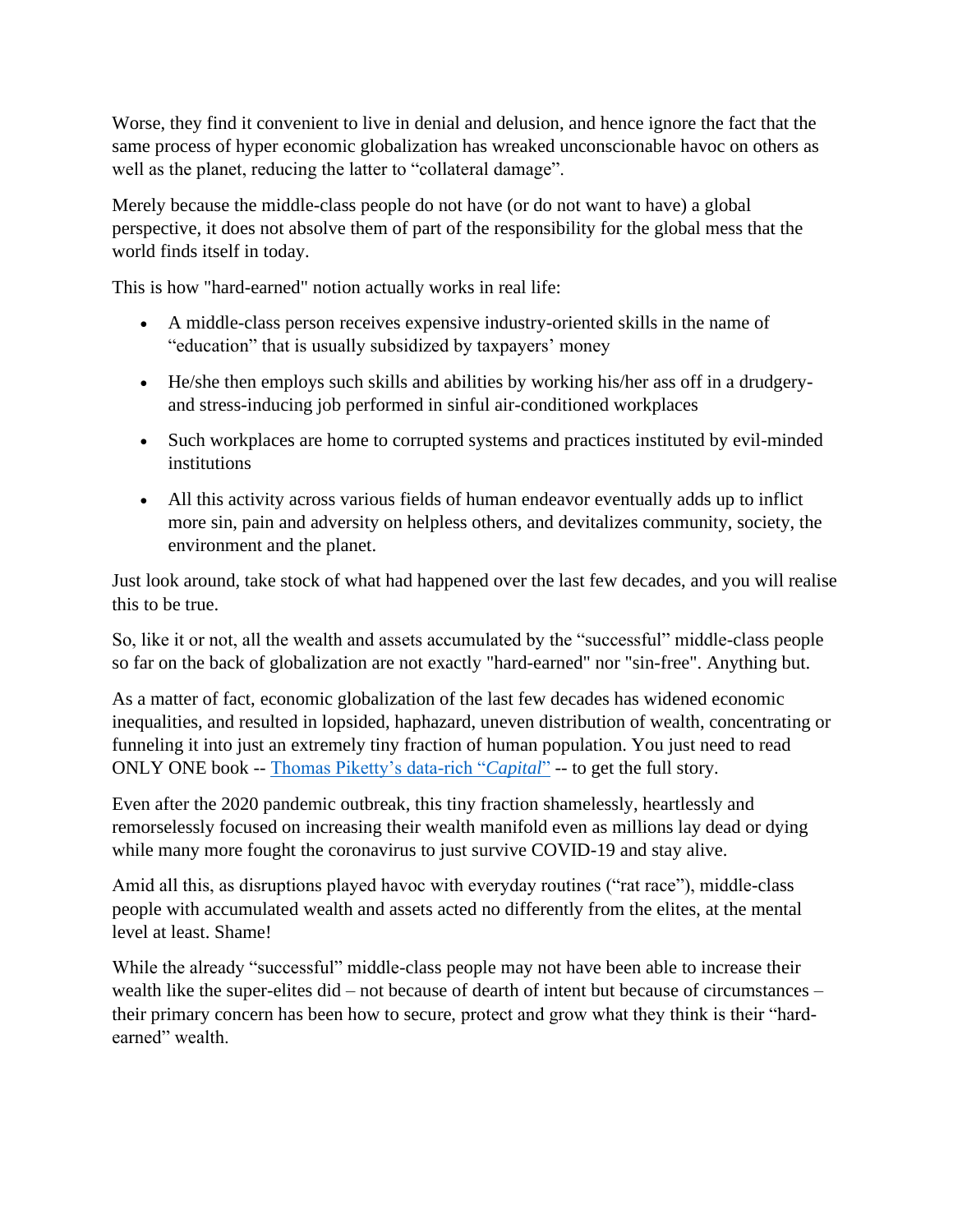Worse, they find it convenient to live in denial and delusion, and hence ignore the fact that the same process of hyper economic globalization has wreaked unconscionable havoc on others as well as the planet, reducing the latter to "collateral damage".

Merely because the middle-class people do not have (or do not want to have) a global perspective, it does not absolve them of part of the responsibility for the global mess that the world finds itself in today.

This is how "hard-earned" notion actually works in real life:

- A middle-class person receives expensive industry-oriented skills in the name of "education" that is usually subsidized by taxpayers' money
- He/she then employs such skills and abilities by working his/her ass off in a drudgeryand stress-inducing job performed in sinful air-conditioned workplaces
- Such workplaces are home to corrupted systems and practices instituted by evil-minded institutions
- All this activity across various fields of human endeavor eventually adds up to inflict more sin, pain and adversity on helpless others, and devitalizes community, society, the environment and the planet.

Just look around, take stock of what had happened over the last few decades, and you will realise this to be true.

So, like it or not, all the wealth and assets accumulated by the "successful" middle-class people so far on the back of globalization are not exactly "hard-earned" nor "sin-free". Anything but.

As a matter of fact, economic globalization of the last few decades has widened economic inequalities, and resulted in lopsided, haphazard, uneven distribution of wealth, concentrating or funneling it into just an extremely tiny fraction of human population. You just need to read ONLY ONE book -- [Thomas Piketty's data-rich "](https://www.google.com/search?q=review+of+Thomas+Piketty+Capital&source=hp&ei=LrJVYNC8G8Si-QbOx6LoBw&iflsig=AINFCbYAAAAAYFXAPjYiuMhgsCOmNDGeCHOEqTLppSfI&oq=review+of+Thomas+Piketty+Capital&gs_lcp=Cgdnd3Mtd2l6EAw6AggAOgIILjoGCAAQFhAeOggIIRAWEB0QHlDbFViZVGCdYGgAcAB4AIABnAOIAZ01kgELMC4xNS4xNS4xLjGYAQCgAQGqAQdnd3Mtd2l6&sclient=gws-wiz&ved=0ahUKEwjQi9Xwub7vAhVEUd4KHc6jCH0Q4dUDCAw)*Capital*" -- to get the full story.

Even after the 2020 pandemic outbreak, this tiny fraction shamelessly, heartlessly and remorselessly focused on increasing their wealth manifold even as millions lay dead or dying while many more fought the coronavirus to just survive COVID-19 and stay alive.

Amid all this, as disruptions played havoc with everyday routines ("rat race"), middle-class people with accumulated wealth and assets acted no differently from the elites, at the mental level at least. Shame!

While the already "successful" middle-class people may not have been able to increase their wealth like the super-elites did – not because of dearth of intent but because of circumstances – their primary concern has been how to secure, protect and grow what they think is their "hardearned" wealth.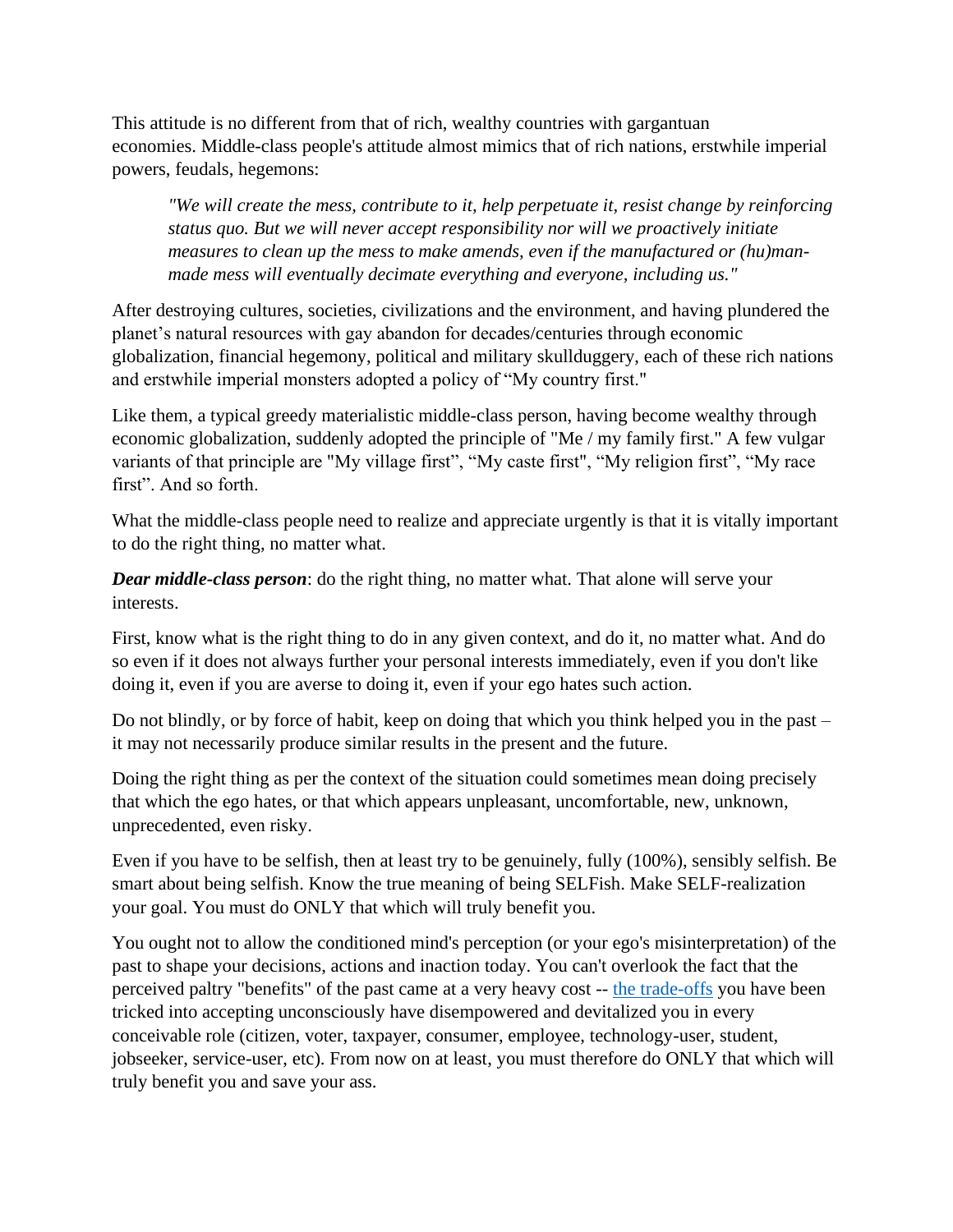This attitude is no different from that of rich, wealthy countries with gargantuan economies. Middle-class people's attitude almost mimics that of rich nations, erstwhile imperial powers, feudals, hegemons:

*"We will create the mess, contribute to it, help perpetuate it, resist change by reinforcing status quo. But we will never accept responsibility nor will we proactively initiate measures to clean up the mess to make amends, even if the manufactured or (hu)manmade mess will eventually decimate everything and everyone, including us."*

After destroying cultures, societies, civilizations and the environment, and having plundered the planet's natural resources with gay abandon for decades/centuries through economic globalization, financial hegemony, political and military skullduggery, each of these rich nations and erstwhile imperial monsters adopted a policy of "My country first."

Like them, a typical greedy materialistic middle-class person, having become wealthy through economic globalization, suddenly adopted the principle of "Me / my family first." A few vulgar variants of that principle are "My village first", "My caste first", "My religion first", "My race first". And so forth.

What the middle-class people need to realize and appreciate urgently is that it is vitally important to do the right thing, no matter what.

*Dear middle-class person*: do the right thing, no matter what. That alone will serve your interests.

First, know what is the right thing to do in any given context, and do it, no matter what. And do so even if it does not always further your personal interests immediately, even if you don't like doing it, even if you are averse to doing it, even if your ego hates such action.

Do not blindly, or by force of habit, keep on doing that which you think helped you in the past – it may not necessarily produce similar results in the present and the future.

Doing the right thing as per the context of the situation could sometimes mean doing precisely that which the ego hates, or that which appears unpleasant, uncomfortable, new, unknown, unprecedented, even risky.

Even if you have to be selfish, then at least try to be genuinely, fully (100%), sensibly selfish. Be smart about being selfish. Know the true meaning of being SELFish. Make SELF-realization your goal. You must do ONLY that which will truly benefit you.

You ought not to allow the conditioned mind's perception (or your ego's misinterpretation) of the past to shape your decisions, actions and inaction today. You can't overlook the fact that the perceived paltry "benefits" of the past came at a very heavy cost -- [the trade-offs](https://www.nrinatter.com/dharma) you have been tricked into accepting unconsciously have disempowered and devitalized you in every conceivable role (citizen, voter, taxpayer, consumer, employee, technology-user, student, jobseeker, service-user, etc). From now on at least, you must therefore do ONLY that which will truly benefit you and save your ass.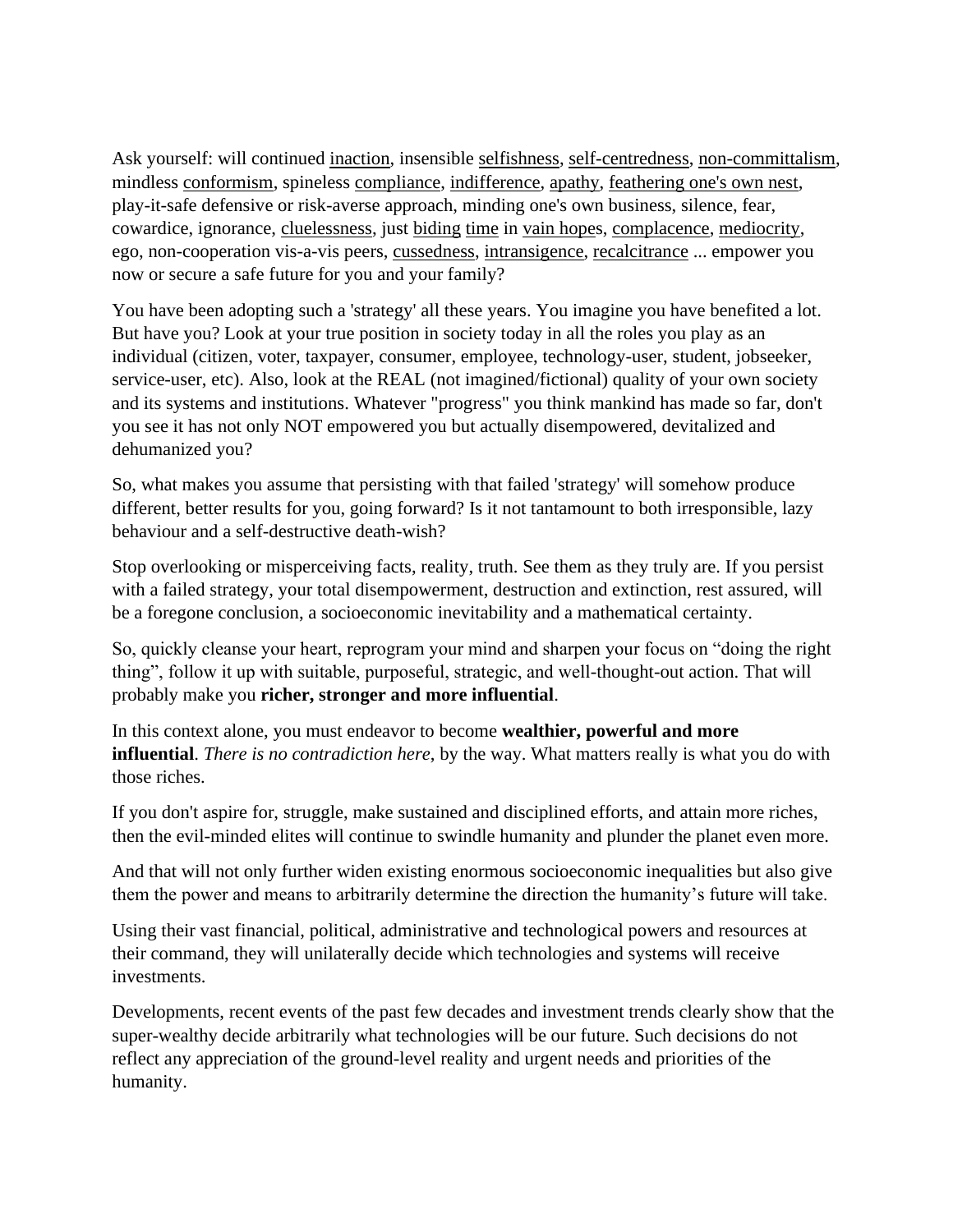Ask yourself: will continued [inaction,](https://www.collinsdictionary.com/dictionary/english/inaction) insensible [selfishness,](https://www.collinsdictionary.com/dictionary/english/selfish) [self-centredness,](https://www.collinsdictionary.com/dictionary/english/self-centered) [non-committalism,](https://www.lexico.com/definition/non-committalism) mindless [conformism,](https://www.lexico.com/definition/conformist) spineless [compliance,](https://www.collinsdictionary.com/dictionary/english/compliance) [indifference,](https://www.collinsdictionary.com/dictionary/english/indifference) [apathy,](https://www.collinsdictionary.com/dictionary/english/apathy) [feathering one's own nest,](https://www.lexico.com/definition/feather_one) play-it-safe defensive or risk-averse approach, minding one's own business, silence, fear, cowardice, ignorance, [cluelessness,](https://www.lexico.com/definition/cluelessness) just [biding](https://www.lexico.com/definition/bide_one) [time](https://www.lexico.com/definition/bide_one) in [vain hopes](https://www.collinsdictionary.com/dictionary/english/vain-hope), [complacence,](https://www.collinsdictionary.com/dictionary/english/complacency) [mediocrity,](https://www.lexico.com/definition/mediocrity) ego, non-cooperation vis-a-vis peers, [cussedness,](https://www.collinsdictionary.com/dictionary/english/cussed) [intransigence,](https://www.collinsdictionary.com/dictionary/english/intransigence) [recalcitrance](https://www.lexico.com/definition/recalcitrance) ... empower you now or secure a safe future for you and your family?

You have been adopting such a 'strategy' all these years. You imagine you have benefited a lot. But have you? Look at your true position in society today in all the roles you play as an individual (citizen, voter, taxpayer, consumer, employee, technology-user, student, jobseeker, service-user, etc). Also, look at the REAL (not imagined/fictional) quality of your own society and its systems and institutions. Whatever "progress" you think mankind has made so far, don't you see it has not only NOT empowered you but actually disempowered, devitalized and dehumanized you?

So, what makes you assume that persisting with that failed 'strategy' will somehow produce different, better results for you, going forward? Is it not tantamount to both irresponsible, lazy behaviour and a self-destructive death-wish?

Stop overlooking or misperceiving facts, reality, truth. See them as they truly are. If you persist with a failed strategy, your total disempowerment, destruction and extinction, rest assured, will be a foregone conclusion, a socioeconomic inevitability and a mathematical certainty.

So, quickly cleanse your heart, reprogram your mind and sharpen your focus on "doing the right thing", follow it up with suitable, purposeful, strategic, and well-thought-out action. That will probably make you **richer, stronger and more influential**.

In this context alone, you must endeavor to become **wealthier, powerful and more influential**. *There is no contradiction here*, by the way. What matters really is what you do with those riches.

If you don't aspire for, struggle, make sustained and disciplined efforts, and attain more riches, then the evil-minded elites will continue to swindle humanity and plunder the planet even more.

And that will not only further widen existing enormous socioeconomic inequalities but also give them the power and means to arbitrarily determine the direction the humanity's future will take.

Using their vast financial, political, administrative and technological powers and resources at their command, they will unilaterally decide which technologies and systems will receive investments.

Developments, recent events of the past few decades and investment trends clearly show that the super-wealthy decide arbitrarily what technologies will be our future. Such decisions do not reflect any appreciation of the ground-level reality and urgent needs and priorities of the humanity.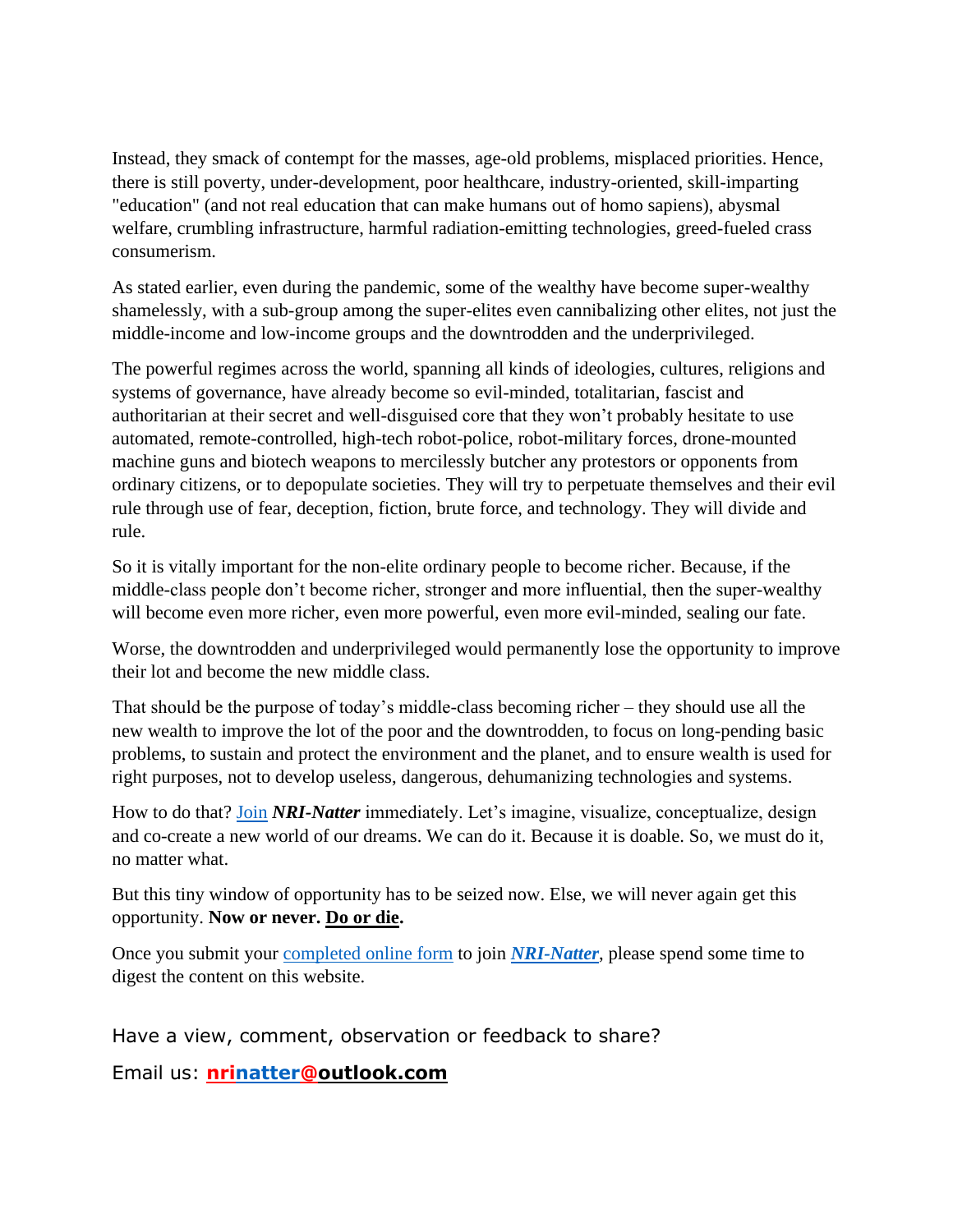Instead, they smack of contempt for the masses, age-old problems, misplaced priorities. Hence, there is still poverty, under-development, poor healthcare, industry-oriented, skill-imparting "education" (and not real education that can make humans out of homo sapiens), abysmal welfare, crumbling infrastructure, harmful radiation-emitting technologies, greed-fueled crass consumerism.

As stated earlier, even during the pandemic, some of the wealthy have become super-wealthy shamelessly, with a sub-group among the super-elites even cannibalizing other elites, not just the middle-income and low-income groups and the downtrodden and the underprivileged.

The powerful regimes across the world, spanning all kinds of ideologies, cultures, religions and systems of governance, have already become so evil-minded, totalitarian, fascist and authoritarian at their secret and well-disguised core that they won't probably hesitate to use automated, remote-controlled, high-tech robot-police, robot-military forces, drone-mounted machine guns and biotech weapons to mercilessly butcher any protestors or opponents from ordinary citizens, or to depopulate societies. They will try to perpetuate themselves and their evil rule through use of fear, deception, fiction, brute force, and technology. They will divide and rule.

So it is vitally important for the non-elite ordinary people to become richer. Because, if the middle-class people don't become richer, stronger and more influential, then the super-wealthy will become even more richer, even more powerful, even more evil-minded, sealing our fate.

Worse, the downtrodden and underprivileged would permanently lose the opportunity to improve their lot and become the new middle class.

That should be the purpose of today's middle-class becoming richer – they should use all the new wealth to improve the lot of the poor and the downtrodden, to focus on long-pending basic problems, to sustain and protect the environment and the planet, and to ensure wealth is used for right purposes, not to develop useless, dangerous, dehumanizing technologies and systems.

How to do that? [Join](https://www.nrinatter.com/join-us) *NRI-Natter* immediately. Let's imagine, visualize, conceptualize, design and co-create a new world of our dreams. We can do it. Because it is doable. So, we must do it, no matter what.

But this tiny window of opportunity has to be seized now. Else, we will never again get this opportunity. **Now or never. Do or die.**

Once you submit your [completed online form](https://www.nrinatter.com/quick-enroll) to join *[NRI-Natter](https://www.nrinatter.com/)*, please spend some time to digest the content on this website.

Have a view, comment, observation or feedback to share?

Email us: **[nrinatter@outlook.com](mailto:nrinatter@outlook.com)**